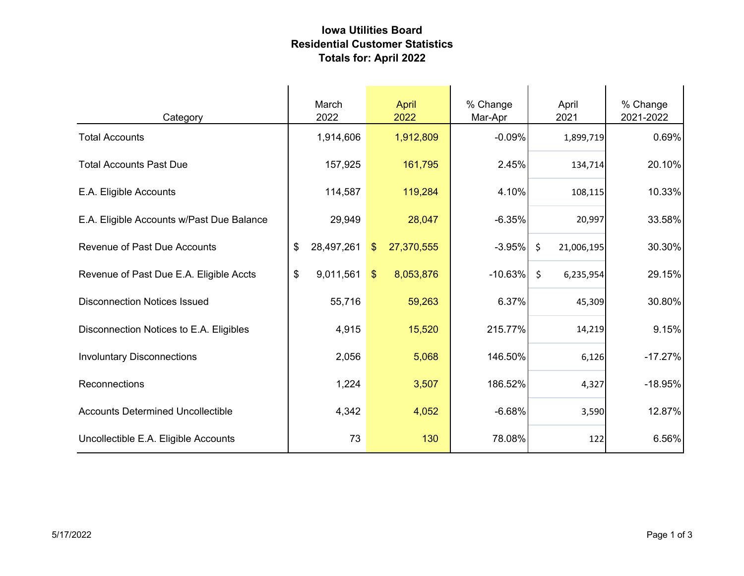## **Iowa Utilities Board Residential Customer Statistics Totals for: April 2022**

| Category                                  | March<br>2022                  |       |               | April<br>2022 | % Change<br>Mar-Apr |         | April<br>2021 | % Change<br>2021-2022 |
|-------------------------------------------|--------------------------------|-------|---------------|---------------|---------------------|---------|---------------|-----------------------|
| <b>Total Accounts</b>                     | 1,914,606                      |       |               | 1,912,809     | $-0.09%$            |         | 1,899,719     | 0.69%                 |
| <b>Total Accounts Past Due</b>            | 157,925                        |       |               | 161,795       | 2.45%               |         | 134,714       | 20.10%                |
| E.A. Eligible Accounts                    | 114,587                        |       |               | 119,284       | 4.10%               |         | 108,115       | 10.33%                |
| E.A. Eligible Accounts w/Past Due Balance | 29,949                         |       |               | 28,047        | $-6.35%$            |         | 20,997        | 33.58%                |
| <b>Revenue of Past Due Accounts</b>       | 28,497,261<br>\$               |       | $\frac{1}{2}$ | 27,370,555    | $-3.95%$            | $\zeta$ | 21,006,195    | 30.30%                |
| Revenue of Past Due E.A. Eligible Accts   | $\boldsymbol{\$}$<br>9,011,561 |       | $\mathcal{S}$ | 8,053,876     | $-10.63\%$          | \$      | 6,235,954     | 29.15%                |
| <b>Disconnection Notices Issued</b>       | 55,716                         |       |               | 59,263        | 6.37%               |         | 45,309        | 30.80%                |
| Disconnection Notices to E.A. Eligibles   |                                | 4,915 |               | 15,520        | 215.77%             |         | 14,219        | 9.15%                 |
| <b>Involuntary Disconnections</b>         |                                | 2,056 |               | 5,068         | 146.50%             |         | 6,126         | $-17.27%$             |
| Reconnections                             |                                | 1,224 |               | 3,507         | 186.52%             |         | 4,327         | $-18.95%$             |
| <b>Accounts Determined Uncollectible</b>  |                                | 4,342 |               | 4,052         | $-6.68%$            |         | 3,590         | 12.87%                |
| Uncollectible E.A. Eligible Accounts      |                                | 73    |               | 130           | 78.08%              |         | 122           | 6.56%                 |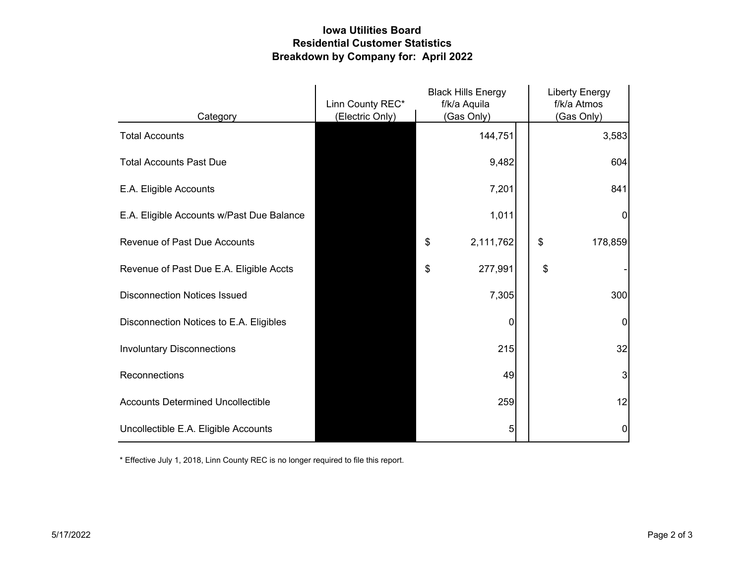## **Iowa Utilities Board Residential Customer Statistics Breakdown by Company for: April 2022**

|                                           | Linn County REC* | <b>Black Hills Energy</b><br>f/k/a Aquila |    | <b>Liberty Energy</b><br>f/k/a Atmos |
|-------------------------------------------|------------------|-------------------------------------------|----|--------------------------------------|
| Category                                  | (Electric Only)  | (Gas Only)                                |    | (Gas Only)                           |
| <b>Total Accounts</b>                     |                  | 144,751                                   |    | 3,583                                |
| <b>Total Accounts Past Due</b>            |                  | 9,482                                     |    | 604                                  |
| E.A. Eligible Accounts                    |                  | 7,201                                     |    | 841                                  |
| E.A. Eligible Accounts w/Past Due Balance |                  | 1,011                                     |    | $\overline{0}$                       |
| <b>Revenue of Past Due Accounts</b>       |                  | \$<br>2,111,762                           | \$ | 178,859                              |
| Revenue of Past Due E.A. Eligible Accts   |                  | \$<br>277,991                             | \$ |                                      |
| <b>Disconnection Notices Issued</b>       |                  | 7,305                                     |    | 300                                  |
| Disconnection Notices to E.A. Eligibles   |                  | $\overline{0}$                            |    | $\overline{0}$                       |
| <b>Involuntary Disconnections</b>         |                  | 215                                       |    | 32                                   |
| Reconnections                             |                  | 49                                        |    | 3                                    |
| <b>Accounts Determined Uncollectible</b>  |                  | 259                                       |    | 12                                   |
| Uncollectible E.A. Eligible Accounts      |                  | 5                                         |    | $\overline{0}$                       |

\* Effective July 1, 2018, Linn County REC is no longer required to file this report.